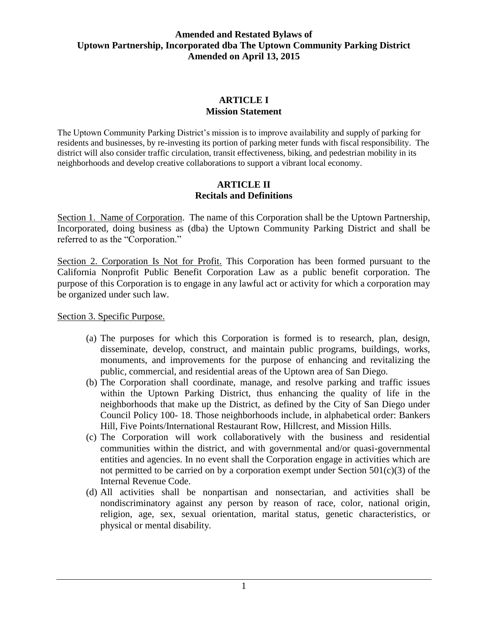# **ARTICLE I Mission Statement**

The Uptown Community Parking District's mission is to improve availability and supply of parking for residents and businesses, by re-investing its portion of parking meter funds with fiscal responsibility. The district will also consider traffic circulation, transit effectiveness, biking, and pedestrian mobility in its neighborhoods and develop creative collaborations to support a vibrant local economy.

#### **ARTICLE II Recitals and Definitions**

Section 1. Name of Corporation. The name of this Corporation shall be the Uptown Partnership, Incorporated, doing business as (dba) the Uptown Community Parking District and shall be referred to as the "Corporation."

Section 2. Corporation Is Not for Profit. This Corporation has been formed pursuant to the California Nonprofit Public Benefit Corporation Law as a public benefit corporation. The purpose of this Corporation is to engage in any lawful act or activity for which a corporation may be organized under such law.

Section 3. Specific Purpose.

- (a) The purposes for which this Corporation is formed is to research, plan, design, disseminate, develop, construct, and maintain public programs, buildings, works, monuments, and improvements for the purpose of enhancing and revitalizing the public, commercial, and residential areas of the Uptown area of San Diego.
- (b) The Corporation shall coordinate, manage, and resolve parking and traffic issues within the Uptown Parking District, thus enhancing the quality of life in the neighborhoods that make up the District, as defined by the City of San Diego under Council Policy 100- 18. Those neighborhoods include, in alphabetical order: Bankers Hill, Five Points/International Restaurant Row, Hillcrest, and Mission Hills.
- (c) The Corporation will work collaboratively with the business and residential communities within the district, and with governmental and/or quasi-governmental entities and agencies. In no event shall the Corporation engage in activities which are not permitted to be carried on by a corporation exempt under Section  $501(c)(3)$  of the Internal Revenue Code.
- (d) All activities shall be nonpartisan and nonsectarian, and activities shall be nondiscriminatory against any person by reason of race, color, national origin, religion, age, sex, sexual orientation, marital status, genetic characteristics, or physical or mental disability.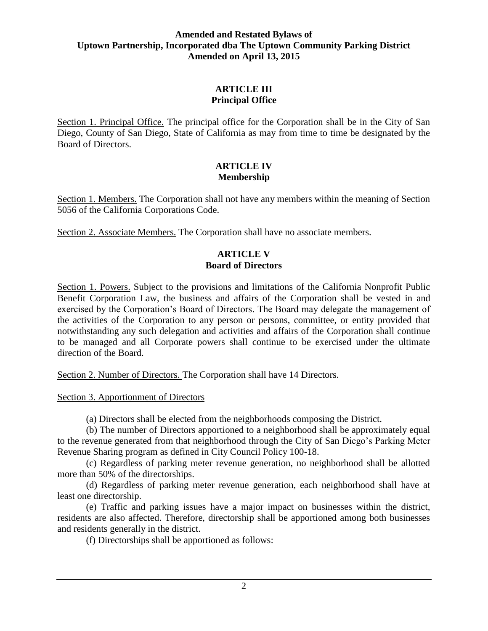## **ARTICLE III Principal Office**

Section 1. Principal Office. The principal office for the Corporation shall be in the City of San Diego, County of San Diego, State of California as may from time to time be designated by the Board of Directors.

#### **ARTICLE IV Membership**

Section 1. Members. The Corporation shall not have any members within the meaning of Section 5056 of the California Corporations Code.

Section 2. Associate Members. The Corporation shall have no associate members.

### **ARTICLE V Board of Directors**

Section 1. Powers. Subject to the provisions and limitations of the California Nonprofit Public Benefit Corporation Law, the business and affairs of the Corporation shall be vested in and exercised by the Corporation's Board of Directors. The Board may delegate the management of the activities of the Corporation to any person or persons, committee, or entity provided that notwithstanding any such delegation and activities and affairs of the Corporation shall continue to be managed and all Corporate powers shall continue to be exercised under the ultimate direction of the Board.

Section 2. Number of Directors. The Corporation shall have 14 Directors.

Section 3. Apportionment of Directors

(a) Directors shall be elected from the neighborhoods composing the District.

(b) The number of Directors apportioned to a neighborhood shall be approximately equal to the revenue generated from that neighborhood through the City of San Diego's Parking Meter Revenue Sharing program as defined in City Council Policy 100-18.

(c) Regardless of parking meter revenue generation, no neighborhood shall be allotted more than 50% of the directorships.

(d) Regardless of parking meter revenue generation, each neighborhood shall have at least one directorship.

(e) Traffic and parking issues have a major impact on businesses within the district, residents are also affected. Therefore, directorship shall be apportioned among both businesses and residents generally in the district.

(f) Directorships shall be apportioned as follows: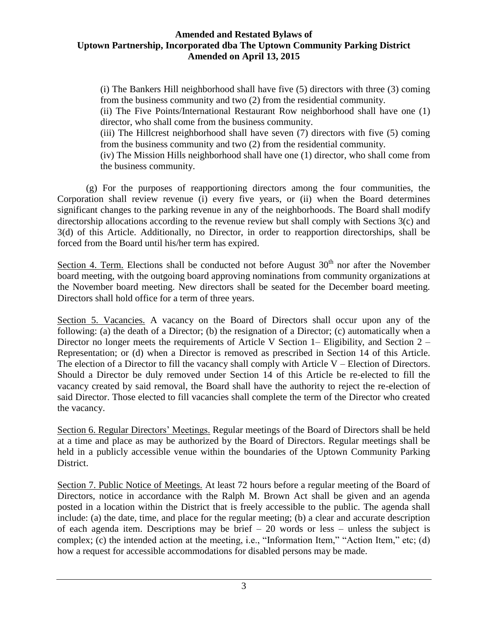(i) The Bankers Hill neighborhood shall have five (5) directors with three (3) coming from the business community and two (2) from the residential community.

(ii) The Five Points/International Restaurant Row neighborhood shall have one (1) director, who shall come from the business community.

(iii) The Hillcrest neighborhood shall have seven (7) directors with five (5) coming from the business community and two (2) from the residential community.

(iv) The Mission Hills neighborhood shall have one (1) director, who shall come from the business community.

(g) For the purposes of reapportioning directors among the four communities, the Corporation shall review revenue (i) every five years, or (ii) when the Board determines significant changes to the parking revenue in any of the neighborhoods. The Board shall modify directorship allocations according to the revenue review but shall comply with Sections 3(c) and 3(d) of this Article. Additionally, no Director, in order to reapportion directorships, shall be forced from the Board until his/her term has expired.

Section 4. Term. Elections shall be conducted not before August  $30<sup>th</sup>$  nor after the November board meeting, with the outgoing board approving nominations from community organizations at the November board meeting. New directors shall be seated for the December board meeting. Directors shall hold office for a term of three years.

Section 5. Vacancies. A vacancy on the Board of Directors shall occur upon any of the following: (a) the death of a Director; (b) the resignation of a Director; (c) automatically when a Director no longer meets the requirements of Article V Section 1– Eligibility, and Section 2– Representation; or (d) when a Director is removed as prescribed in Section 14 of this Article. The election of a Director to fill the vacancy shall comply with Article  $V$  – Election of Directors. Should a Director be duly removed under Section 14 of this Article be re-elected to fill the vacancy created by said removal, the Board shall have the authority to reject the re-election of said Director. Those elected to fill vacancies shall complete the term of the Director who created the vacancy.

Section 6. Regular Directors' Meetings. Regular meetings of the Board of Directors shall be held at a time and place as may be authorized by the Board of Directors. Regular meetings shall be held in a publicly accessible venue within the boundaries of the Uptown Community Parking District.

Section 7. Public Notice of Meetings. At least 72 hours before a regular meeting of the Board of Directors, notice in accordance with the Ralph M. Brown Act shall be given and an agenda posted in a location within the District that is freely accessible to the public. The agenda shall include: (a) the date, time, and place for the regular meeting; (b) a clear and accurate description of each agenda item. Descriptions may be brief – 20 words or less – unless the subject is complex; (c) the intended action at the meeting, i.e., "Information Item," "Action Item," etc; (d) how a request for accessible accommodations for disabled persons may be made.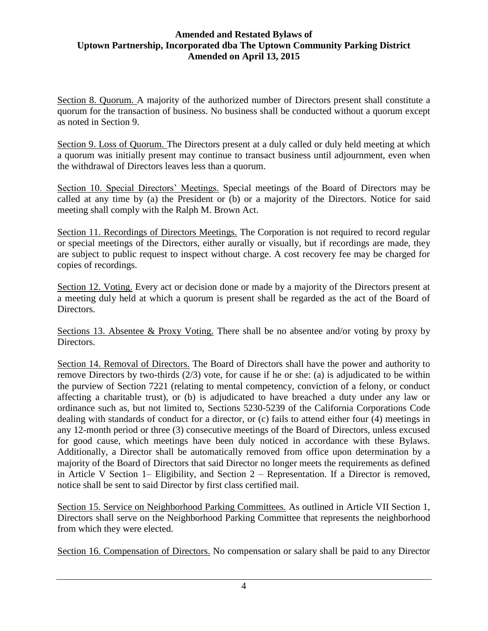Section 8. Quorum. A majority of the authorized number of Directors present shall constitute a quorum for the transaction of business. No business shall be conducted without a quorum except as noted in Section 9.

Section 9. Loss of Quorum. The Directors present at a duly called or duly held meeting at which a quorum was initially present may continue to transact business until adjournment, even when the withdrawal of Directors leaves less than a quorum.

Section 10. Special Directors' Meetings. Special meetings of the Board of Directors may be called at any time by (a) the President or (b) or a majority of the Directors. Notice for said meeting shall comply with the Ralph M. Brown Act.

Section 11. Recordings of Directors Meetings. The Corporation is not required to record regular or special meetings of the Directors, either aurally or visually, but if recordings are made, they are subject to public request to inspect without charge. A cost recovery fee may be charged for copies of recordings.

Section 12. Voting. Every act or decision done or made by a majority of the Directors present at a meeting duly held at which a quorum is present shall be regarded as the act of the Board of Directors.

Sections 13. Absentee & Proxy Voting. There shall be no absentee and/or voting by proxy by Directors.

Section 14. Removal of Directors. The Board of Directors shall have the power and authority to remove Directors by two-thirds (2/3) vote, for cause if he or she: (a) is adjudicated to be within the purview of Section 7221 (relating to mental competency, conviction of a felony, or conduct affecting a charitable trust), or (b) is adjudicated to have breached a duty under any law or ordinance such as, but not limited to, Sections 5230-5239 of the California Corporations Code dealing with standards of conduct for a director, or (c) fails to attend either four (4) meetings in any 12-month period or three (3) consecutive meetings of the Board of Directors, unless excused for good cause, which meetings have been duly noticed in accordance with these Bylaws. Additionally, a Director shall be automatically removed from office upon determination by a majority of the Board of Directors that said Director no longer meets the requirements as defined in Article V Section 1– Eligibility, and Section 2 – Representation. If a Director is removed, notice shall be sent to said Director by first class certified mail.

Section 15. Service on Neighborhood Parking Committees. As outlined in Article VII Section 1, Directors shall serve on the Neighborhood Parking Committee that represents the neighborhood from which they were elected.

Section 16. Compensation of Directors. No compensation or salary shall be paid to any Director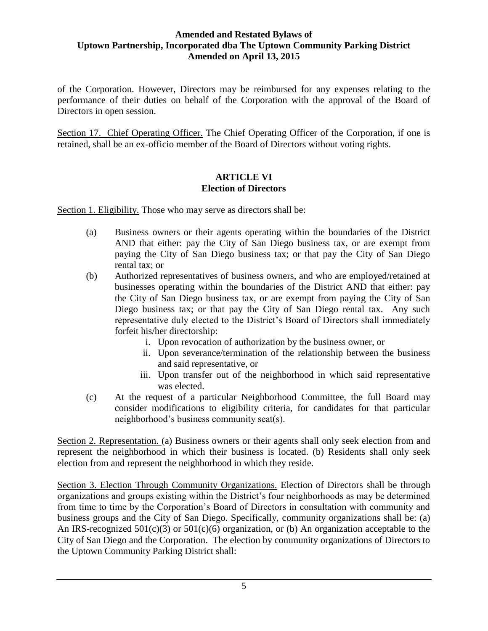of the Corporation. However, Directors may be reimbursed for any expenses relating to the performance of their duties on behalf of the Corporation with the approval of the Board of Directors in open session.

Section 17. Chief Operating Officer. The Chief Operating Officer of the Corporation, if one is retained, shall be an ex-officio member of the Board of Directors without voting rights.

# **ARTICLE VI Election of Directors**

Section 1. Eligibility. Those who may serve as directors shall be:

- (a) Business owners or their agents operating within the boundaries of the District AND that either: pay the City of San Diego business tax, or are exempt from paying the City of San Diego business tax; or that pay the City of San Diego rental tax; or
- (b) Authorized representatives of business owners, and who are employed/retained at businesses operating within the boundaries of the District AND that either: pay the City of San Diego business tax, or are exempt from paying the City of San Diego business tax; or that pay the City of San Diego rental tax. Any such representative duly elected to the District's Board of Directors shall immediately forfeit his/her directorship:
	- i. Upon revocation of authorization by the business owner, or
	- ii. Upon severance/termination of the relationship between the business and said representative, or
	- iii. Upon transfer out of the neighborhood in which said representative was elected.
- (c) At the request of a particular Neighborhood Committee, the full Board may consider modifications to eligibility criteria, for candidates for that particular neighborhood's business community seat(s).

Section 2. Representation. (a) Business owners or their agents shall only seek election from and represent the neighborhood in which their business is located. (b) Residents shall only seek election from and represent the neighborhood in which they reside.

Section 3. Election Through Community Organizations. Election of Directors shall be through organizations and groups existing within the District's four neighborhoods as may be determined from time to time by the Corporation's Board of Directors in consultation with community and business groups and the City of San Diego. Specifically, community organizations shall be: (a) An IRS-recognized 501(c)(3) or 501(c)(6) organization, or (b) An organization acceptable to the City of San Diego and the Corporation. The election by community organizations of Directors to the Uptown Community Parking District shall: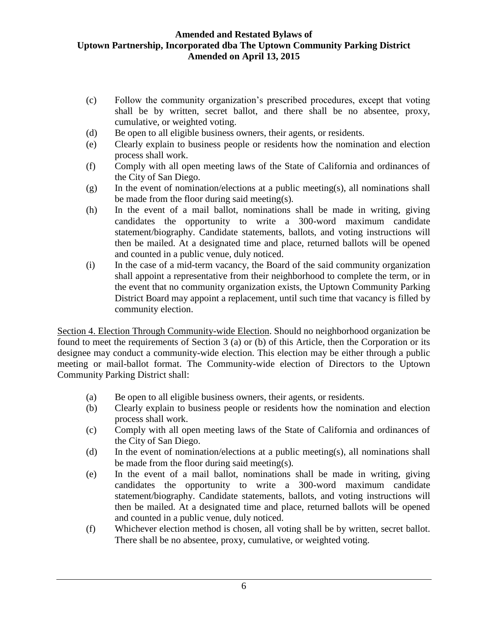- (c) Follow the community organization's prescribed procedures, except that voting shall be by written, secret ballot, and there shall be no absentee, proxy, cumulative, or weighted voting.
- (d) Be open to all eligible business owners, their agents, or residents.
- (e) Clearly explain to business people or residents how the nomination and election process shall work.
- (f) Comply with all open meeting laws of the State of California and ordinances of the City of San Diego.
- (g) In the event of nomination/elections at a public meeting(s), all nominations shall be made from the floor during said meeting(s).
- (h) In the event of a mail ballot, nominations shall be made in writing, giving candidates the opportunity to write a 300-word maximum candidate statement/biography. Candidate statements, ballots, and voting instructions will then be mailed. At a designated time and place, returned ballots will be opened and counted in a public venue, duly noticed.
- (i) In the case of a mid-term vacancy, the Board of the said community organization shall appoint a representative from their neighborhood to complete the term, or in the event that no community organization exists, the Uptown Community Parking District Board may appoint a replacement, until such time that vacancy is filled by community election.

Section 4. Election Through Community-wide Election. Should no neighborhood organization be found to meet the requirements of Section 3 (a) or (b) of this Article, then the Corporation or its designee may conduct a community-wide election. This election may be either through a public meeting or mail-ballot format. The Community-wide election of Directors to the Uptown Community Parking District shall:

- (a) Be open to all eligible business owners, their agents, or residents.
- (b) Clearly explain to business people or residents how the nomination and election process shall work.
- (c) Comply with all open meeting laws of the State of California and ordinances of the City of San Diego.
- (d) In the event of nomination/elections at a public meeting(s), all nominations shall be made from the floor during said meeting(s).
- (e) In the event of a mail ballot, nominations shall be made in writing, giving candidates the opportunity to write a 300-word maximum candidate statement/biography. Candidate statements, ballots, and voting instructions will then be mailed. At a designated time and place, returned ballots will be opened and counted in a public venue, duly noticed.
- (f) Whichever election method is chosen, all voting shall be by written, secret ballot. There shall be no absentee, proxy, cumulative, or weighted voting.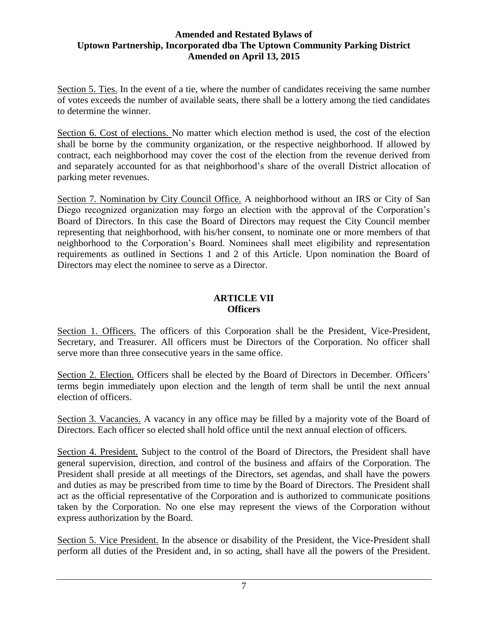Section 5. Ties. In the event of a tie, where the number of candidates receiving the same number of votes exceeds the number of available seats, there shall be a lottery among the tied candidates to determine the winner.

Section 6. Cost of elections. No matter which election method is used, the cost of the election shall be borne by the community organization, or the respective neighborhood. If allowed by contract, each neighborhood may cover the cost of the election from the revenue derived from and separately accounted for as that neighborhood's share of the overall District allocation of parking meter revenues.

Section 7. Nomination by City Council Office. A neighborhood without an IRS or City of San Diego recognized organization may forgo an election with the approval of the Corporation's Board of Directors. In this case the Board of Directors may request the City Council member representing that neighborhood, with his/her consent, to nominate one or more members of that neighborhood to the Corporation's Board. Nominees shall meet eligibility and representation requirements as outlined in Sections 1 and 2 of this Article. Upon nomination the Board of Directors may elect the nominee to serve as a Director.

# **ARTICLE VII Officers**

Section 1. Officers. The officers of this Corporation shall be the President, Vice-President, Secretary, and Treasurer. All officers must be Directors of the Corporation. No officer shall serve more than three consecutive years in the same office.

Section 2. Election. Officers shall be elected by the Board of Directors in December. Officers' terms begin immediately upon election and the length of term shall be until the next annual election of officers.

Section 3. Vacancies. A vacancy in any office may be filled by a majority vote of the Board of Directors. Each officer so elected shall hold office until the next annual election of officers.

Section 4. President. Subject to the control of the Board of Directors, the President shall have general supervision, direction, and control of the business and affairs of the Corporation. The President shall preside at all meetings of the Directors, set agendas, and shall have the powers and duties as may be prescribed from time to time by the Board of Directors. The President shall act as the official representative of the Corporation and is authorized to communicate positions taken by the Corporation. No one else may represent the views of the Corporation without express authorization by the Board.

Section 5. Vice President. In the absence or disability of the President, the Vice-President shall perform all duties of the President and, in so acting, shall have all the powers of the President.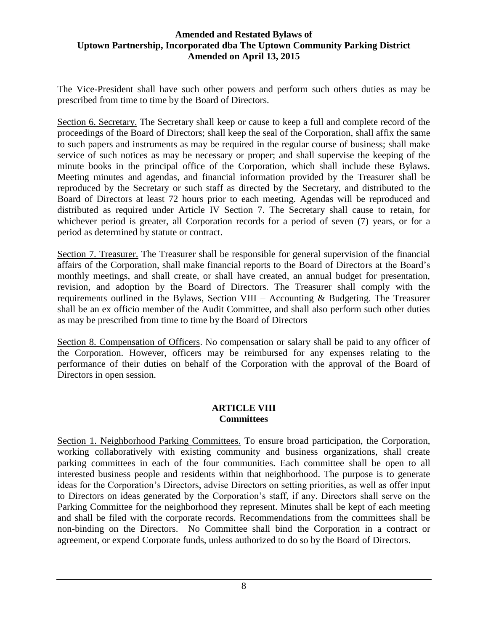The Vice-President shall have such other powers and perform such others duties as may be prescribed from time to time by the Board of Directors.

Section 6. Secretary. The Secretary shall keep or cause to keep a full and complete record of the proceedings of the Board of Directors; shall keep the seal of the Corporation, shall affix the same to such papers and instruments as may be required in the regular course of business; shall make service of such notices as may be necessary or proper; and shall supervise the keeping of the minute books in the principal office of the Corporation, which shall include these Bylaws. Meeting minutes and agendas, and financial information provided by the Treasurer shall be reproduced by the Secretary or such staff as directed by the Secretary, and distributed to the Board of Directors at least 72 hours prior to each meeting. Agendas will be reproduced and distributed as required under Article IV Section 7. The Secretary shall cause to retain, for whichever period is greater, all Corporation records for a period of seven (7) years, or for a period as determined by statute or contract.

Section 7. Treasurer. The Treasurer shall be responsible for general supervision of the financial affairs of the Corporation, shall make financial reports to the Board of Directors at the Board's monthly meetings, and shall create, or shall have created, an annual budget for presentation, revision, and adoption by the Board of Directors. The Treasurer shall comply with the requirements outlined in the Bylaws, Section VIII – Accounting & Budgeting. The Treasurer shall be an ex officio member of the Audit Committee, and shall also perform such other duties as may be prescribed from time to time by the Board of Directors

Section 8. Compensation of Officers. No compensation or salary shall be paid to any officer of the Corporation. However, officers may be reimbursed for any expenses relating to the performance of their duties on behalf of the Corporation with the approval of the Board of Directors in open session.

# **ARTICLE VIII Committees**

Section 1. Neighborhood Parking Committees. To ensure broad participation, the Corporation, working collaboratively with existing community and business organizations, shall create parking committees in each of the four communities. Each committee shall be open to all interested business people and residents within that neighborhood. The purpose is to generate ideas for the Corporation's Directors, advise Directors on setting priorities, as well as offer input to Directors on ideas generated by the Corporation's staff, if any. Directors shall serve on the Parking Committee for the neighborhood they represent. Minutes shall be kept of each meeting and shall be filed with the corporate records. Recommendations from the committees shall be non-binding on the Directors. No Committee shall bind the Corporation in a contract or agreement, or expend Corporate funds, unless authorized to do so by the Board of Directors.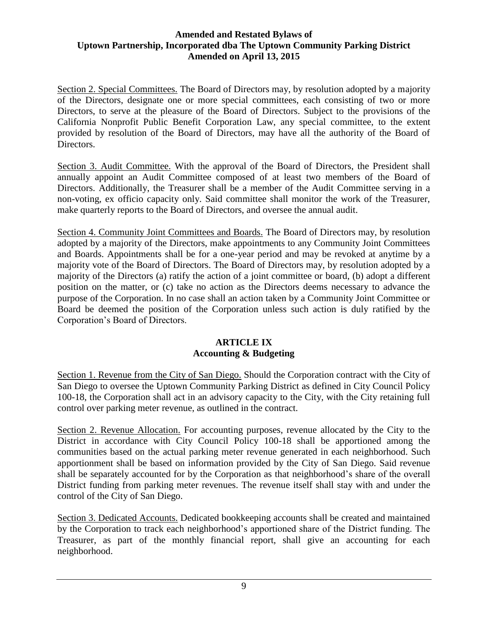Section 2. Special Committees. The Board of Directors may, by resolution adopted by a majority of the Directors, designate one or more special committees, each consisting of two or more Directors, to serve at the pleasure of the Board of Directors. Subject to the provisions of the California Nonprofit Public Benefit Corporation Law, any special committee, to the extent provided by resolution of the Board of Directors, may have all the authority of the Board of Directors.

Section 3. Audit Committee. With the approval of the Board of Directors, the President shall annually appoint an Audit Committee composed of at least two members of the Board of Directors. Additionally, the Treasurer shall be a member of the Audit Committee serving in a non-voting, ex officio capacity only. Said committee shall monitor the work of the Treasurer, make quarterly reports to the Board of Directors, and oversee the annual audit.

Section 4. Community Joint Committees and Boards. The Board of Directors may, by resolution adopted by a majority of the Directors, make appointments to any Community Joint Committees and Boards. Appointments shall be for a one-year period and may be revoked at anytime by a majority vote of the Board of Directors. The Board of Directors may, by resolution adopted by a majority of the Directors (a) ratify the action of a joint committee or board, (b) adopt a different position on the matter, or (c) take no action as the Directors deems necessary to advance the purpose of the Corporation. In no case shall an action taken by a Community Joint Committee or Board be deemed the position of the Corporation unless such action is duly ratified by the Corporation's Board of Directors.

# **ARTICLE IX Accounting & Budgeting**

Section 1. Revenue from the City of San Diego. Should the Corporation contract with the City of San Diego to oversee the Uptown Community Parking District as defined in City Council Policy 100-18, the Corporation shall act in an advisory capacity to the City, with the City retaining full control over parking meter revenue, as outlined in the contract.

Section 2. Revenue Allocation. For accounting purposes, revenue allocated by the City to the District in accordance with City Council Policy 100-18 shall be apportioned among the communities based on the actual parking meter revenue generated in each neighborhood. Such apportionment shall be based on information provided by the City of San Diego. Said revenue shall be separately accounted for by the Corporation as that neighborhood's share of the overall District funding from parking meter revenues. The revenue itself shall stay with and under the control of the City of San Diego.

Section 3. Dedicated Accounts. Dedicated bookkeeping accounts shall be created and maintained by the Corporation to track each neighborhood's apportioned share of the District funding. The Treasurer, as part of the monthly financial report, shall give an accounting for each neighborhood.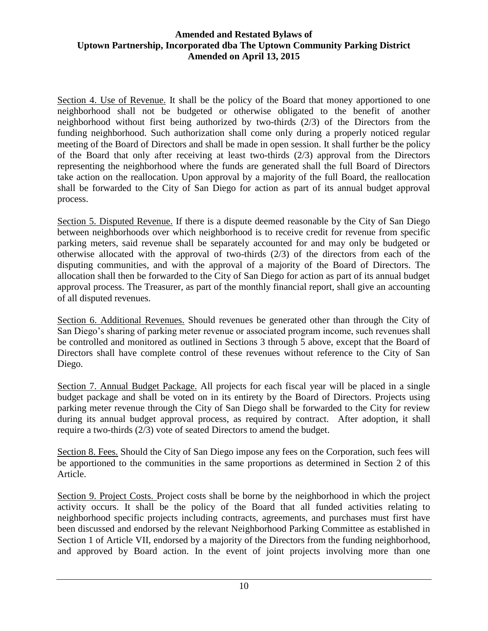Section 4. Use of Revenue. It shall be the policy of the Board that money apportioned to one neighborhood shall not be budgeted or otherwise obligated to the benefit of another neighborhood without first being authorized by two-thirds (2/3) of the Directors from the funding neighborhood. Such authorization shall come only during a properly noticed regular meeting of the Board of Directors and shall be made in open session. It shall further be the policy of the Board that only after receiving at least two-thirds (2/3) approval from the Directors representing the neighborhood where the funds are generated shall the full Board of Directors take action on the reallocation. Upon approval by a majority of the full Board, the reallocation shall be forwarded to the City of San Diego for action as part of its annual budget approval process.

Section 5. Disputed Revenue. If there is a dispute deemed reasonable by the City of San Diego between neighborhoods over which neighborhood is to receive credit for revenue from specific parking meters, said revenue shall be separately accounted for and may only be budgeted or otherwise allocated with the approval of two-thirds (2/3) of the directors from each of the disputing communities, and with the approval of a majority of the Board of Directors. The allocation shall then be forwarded to the City of San Diego for action as part of its annual budget approval process. The Treasurer, as part of the monthly financial report, shall give an accounting of all disputed revenues.

Section 6. Additional Revenues. Should revenues be generated other than through the City of San Diego's sharing of parking meter revenue or associated program income, such revenues shall be controlled and monitored as outlined in Sections 3 through 5 above, except that the Board of Directors shall have complete control of these revenues without reference to the City of San Diego.

Section 7. Annual Budget Package. All projects for each fiscal year will be placed in a single budget package and shall be voted on in its entirety by the Board of Directors. Projects using parking meter revenue through the City of San Diego shall be forwarded to the City for review during its annual budget approval process, as required by contract. After adoption, it shall require a two-thirds (2/3) vote of seated Directors to amend the budget.

Section 8. Fees. Should the City of San Diego impose any fees on the Corporation, such fees will be apportioned to the communities in the same proportions as determined in Section 2 of this Article.

Section 9. Project Costs. Project costs shall be borne by the neighborhood in which the project activity occurs. It shall be the policy of the Board that all funded activities relating to neighborhood specific projects including contracts, agreements, and purchases must first have been discussed and endorsed by the relevant Neighborhood Parking Committee as established in Section 1 of Article VII, endorsed by a majority of the Directors from the funding neighborhood, and approved by Board action. In the event of joint projects involving more than one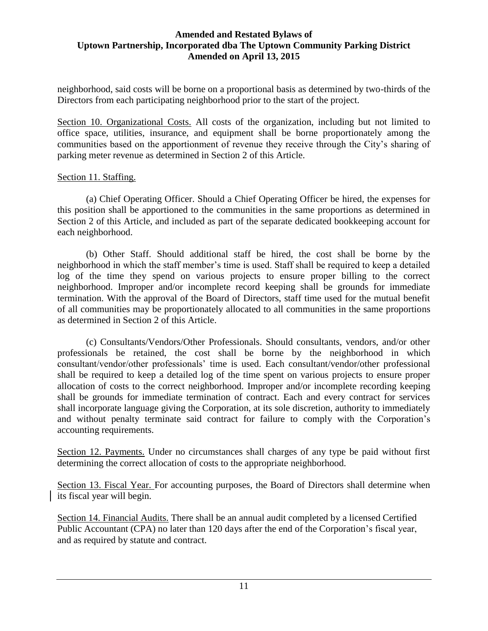neighborhood, said costs will be borne on a proportional basis as determined by two-thirds of the Directors from each participating neighborhood prior to the start of the project.

Section 10. Organizational Costs. All costs of the organization, including but not limited to office space, utilities, insurance, and equipment shall be borne proportionately among the communities based on the apportionment of revenue they receive through the City's sharing of parking meter revenue as determined in Section 2 of this Article.

### Section 11. Staffing.

(a) Chief Operating Officer. Should a Chief Operating Officer be hired, the expenses for this position shall be apportioned to the communities in the same proportions as determined in Section 2 of this Article, and included as part of the separate dedicated bookkeeping account for each neighborhood.

(b) Other Staff. Should additional staff be hired, the cost shall be borne by the neighborhood in which the staff member's time is used. Staff shall be required to keep a detailed log of the time they spend on various projects to ensure proper billing to the correct neighborhood. Improper and/or incomplete record keeping shall be grounds for immediate termination. With the approval of the Board of Directors, staff time used for the mutual benefit of all communities may be proportionately allocated to all communities in the same proportions as determined in Section 2 of this Article.

(c) Consultants/Vendors/Other Professionals. Should consultants, vendors, and/or other professionals be retained, the cost shall be borne by the neighborhood in which consultant/vendor/other professionals' time is used. Each consultant/vendor/other professional shall be required to keep a detailed log of the time spent on various projects to ensure proper allocation of costs to the correct neighborhood. Improper and/or incomplete recording keeping shall be grounds for immediate termination of contract. Each and every contract for services shall incorporate language giving the Corporation, at its sole discretion, authority to immediately and without penalty terminate said contract for failure to comply with the Corporation's accounting requirements.

Section 12. Payments. Under no circumstances shall charges of any type be paid without first determining the correct allocation of costs to the appropriate neighborhood.

Section 13. Fiscal Year. For accounting purposes, the Board of Directors shall determine when its fiscal year will begin.

Section 14. Financial Audits. There shall be an annual audit completed by a licensed Certified Public Accountant (CPA) no later than 120 days after the end of the Corporation's fiscal year, and as required by statute and contract.